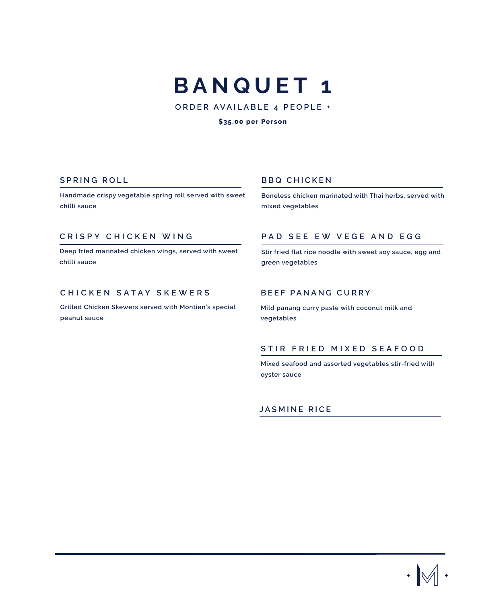# **BANQUET 1**

**ORDER AVAILABLE 4 PEOPLE +**

#### **\$35.00 per Person**

**Handmade crispy vegetable spring roll served with sweet chilli sauce** 

### **CRISPY CHICKEN WING**

**Deep fried marinated chicken wings, served with sweet chilli sauce** 

### **CHICKEN SATAY SKEWERS**

**Grilled Chicken Skewers served with Montien's special peanut sauce**

### **SPRING ROLL** BBQ CHICKEN

**Boneless chicken marinated with Thai herbs, served with mixed vegetables**

### **PAD SEE EW VEGE AND EGG**

**Stir fried flat rice noodle with sweet soy sauce, egg and green vegetables**

### **BEEF PANANG CURRY**

**Mild panang curry paste with coconut milk and vegetables**

### **STIR FRIED MIXED SEAFOOD**

**Mixed seafood and assorted vegetables stir-fried with oyster sauce**

### **JASMINE RICE**